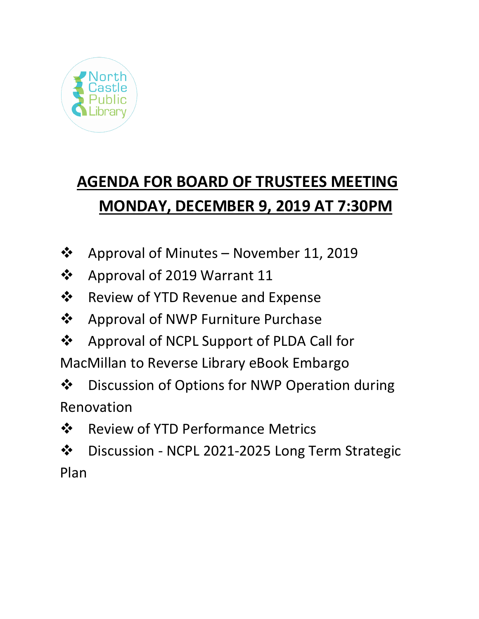

# **AGENDA FOR BOARD OF TRUSTEES MEETING MONDAY, DECEMBER 9, 2019 AT 7:30PM**

- $\cdot \cdot$  Approval of Minutes November 11, 2019
- ❖ Approval of 2019 Warrant 11
- **❖** Review of YTD Revenue and Expense
- ❖ Approval of NWP Furniture Purchase
- ❖ Approval of NCPL Support of PLDA Call for

MacMillan to Reverse Library eBook Embargo

❖ Discussion of Options for NWP Operation during Renovation

❖ Review of YTD Performance Metrics

 Discussion - NCPL 2021-2025 Long Term Strategic Plan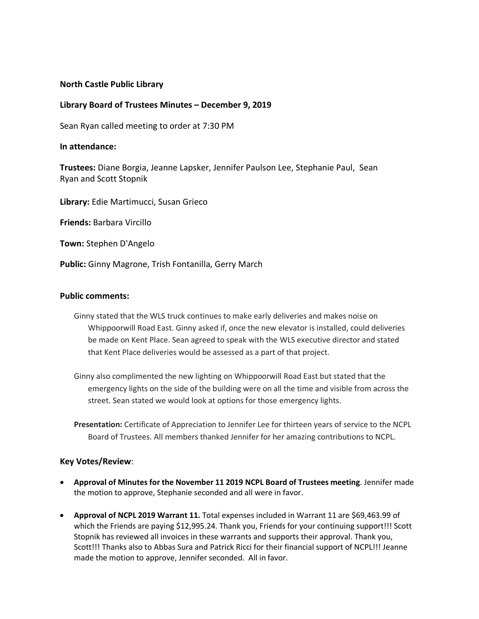## **North Castle Public Library**

### **Library Board of Trustees Minutes – December 9, 2019**

Sean Ryan called meeting to order at 7:30 PM

### **In attendance:**

**Trustees:** Diane Borgia, Jeanne Lapsker, Jennifer Paulson Lee, Stephanie Paul, Sean Ryan and Scott Stopnik

**Library:** Edie Martimucci, Susan Grieco

**Friends:** Barbara Vircillo

**Town:** Stephen D'Angelo

**Public:** Ginny Magrone, Trish Fontanilla, Gerry March

### **Public comments:**

- Ginny stated that the WLS truck continues to make early deliveries and makes noise on Whippoorwill Road East. Ginny asked if, once the new elevator is installed, could deliveries be made on Kent Place. Sean agreed to speak with the WLS executive director and stated that Kent Place deliveries would be assessed as a part of that project.
- Ginny also complimented the new lighting on Whippoorwill Road East but stated that the emergency lights on the side of the building were on all the time and visible from across the street. Sean stated we would look at options for those emergency lights.

**Presentation:** Certificate of Appreciation to Jennifer Lee for thirteen years of service to the NCPL Board of Trustees. All members thanked Jennifer for her amazing contributions to NCPL.

### **Key Votes/Review**:

- **Approval of Minutes for the November 11 2019 NCPL Board of Trustees meeting**. Jennifer made the motion to approve, Stephanie seconded and all were in favor.
- **Approval of NCPL 2019 Warrant 11.** Total expenses included in Warrant 11 are \$69,463.99 of which the Friends are paying \$12,995.24. Thank you, Friends for your continuing support!!! Scott Stopnik has reviewed all invoices in these warrants and supports their approval. Thank you, Scott!!! Thanks also to Abbas Sura and Patrick Ricci for their financial support of NCPL!!! Jeanne made the motion to approve, Jennifer seconded. All in favor.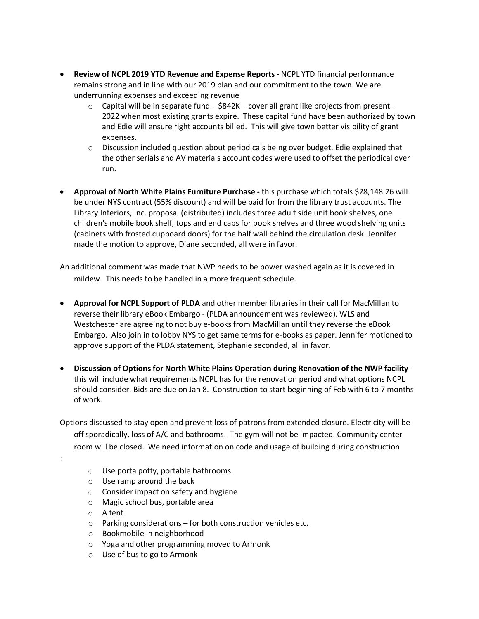- **Review of NCPL 2019 YTD Revenue and Expense Reports -** NCPL YTD financial performance remains strong and in line with our 2019 plan and our commitment to the town. We are underrunning expenses and exceeding revenue
	- $\circ$  Capital will be in separate fund \$842K cover all grant like projects from present 2022 when most existing grants expire. These capital fund have been authorized by town and Edie will ensure right accounts billed. This will give town better visibility of grant expenses.
	- o Discussion included question about periodicals being over budget. Edie explained that the other serials and AV materials account codes were used to offset the periodical over run.
- **Approval of North White Plains Furniture Purchase -** this purchase which totals \$28,148.26 will be under NYS contract (55% discount) and will be paid for from the library trust accounts. The Library Interiors, Inc. proposal (distributed) includes three adult side unit book shelves, one children's mobile book shelf, tops and end caps for book shelves and three wood shelving units (cabinets with frosted cupboard doors) for the half wall behind the circulation desk. Jennifer made the motion to approve, Diane seconded, all were in favor.

An additional comment was made that NWP needs to be power washed again as it is covered in mildew. This needs to be handled in a more frequent schedule.

- **Approval for NCPL Support of PLDA** and other member libraries in their call for MacMillan to reverse their library eBook Embargo - (PLDA announcement was reviewed). WLS and Westchester are agreeing to not buy e-books from MacMillan until they reverse the eBook Embargo. Also join in to lobby NYS to get same terms for e-books as paper. Jennifer motioned to approve support of the PLDA statement, Stephanie seconded, all in favor.
- **Discussion of Options for North White Plains Operation during Renovation of the NWP facility**  this will include what requirements NCPL has for the renovation period and what options NCPL should consider. Bids are due on Jan 8. Construction to start beginning of Feb with 6 to 7 months of work.

Options discussed to stay open and prevent loss of patrons from extended closure. Electricity will be off sporadically, loss of A/C and bathrooms. The gym will not be impacted. Community center room will be closed. We need information on code and usage of building during construction

- o Use porta potty, portable bathrooms.
- o Use ramp around the back
- o Consider impact on safety and hygiene
- o Magic school bus, portable area
- o A tent

:

- o Parking considerations for both construction vehicles etc.
- o Bookmobile in neighborhood
- o Yoga and other programming moved to Armonk
- o Use of bus to go to Armonk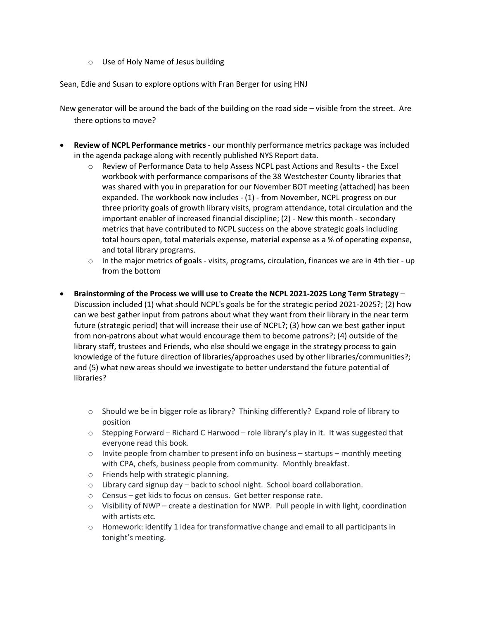o Use of Holy Name of Jesus building

Sean, Edie and Susan to explore options with Fran Berger for using HNJ

New generator will be around the back of the building on the road side – visible from the street. Are there options to move?

- **Review of NCPL Performance metrics**  our monthly performance metrics package was included in the agenda package along with recently published NYS Report data.
	- o Review of Performance Data to help Assess NCPL past Actions and Results the Excel workbook with performance comparisons of the 38 Westchester County libraries that was shared with you in preparation for our November BOT meeting (attached) has been expanded. The workbook now includes - (1) - from November, NCPL progress on our three priority goals of growth library visits, program attendance, total circulation and the important enabler of increased financial discipline; (2) - New this month - secondary metrics that have contributed to NCPL success on the above strategic goals including total hours open, total materials expense, material expense as a % of operating expense, and total library programs.
	- $\circ$  In the major metrics of goals visits, programs, circulation, finances we are in 4th tier up from the bottom
- **Brainstorming of the Process we will use to Create the NCPL 2021-2025 Long Term Strategy** Discussion included (1) what should NCPL's goals be for the strategic period 2021-2025?; (2) how can we best gather input from patrons about what they want from their library in the near term future (strategic period) that will increase their use of NCPL?; (3) how can we best gather input from non-patrons about what would encourage them to become patrons?; (4) outside of the library staff, trustees and Friends, who else should we engage in the strategy process to gain knowledge of the future direction of libraries/approaches used by other libraries/communities?; and (5) what new areas should we investigate to better understand the future potential of libraries?
	- o Should we be in bigger role as library? Thinking differently? Expand role of library to position
	- $\circ$  Stepping Forward Richard C Harwood role library's play in it. It was suggested that everyone read this book.
	- $\circ$  Invite people from chamber to present info on business startups monthly meeting with CPA, chefs, business people from community. Monthly breakfast.
	- o Friends help with strategic planning.
	- o Library card signup day back to school night. School board collaboration.
	- o Census get kids to focus on census. Get better response rate.
	- o Visibility of NWP create a destination for NWP. Pull people in with light, coordination with artists etc.
	- $\circ$  Homework: identify 1 idea for transformative change and email to all participants in tonight's meeting.